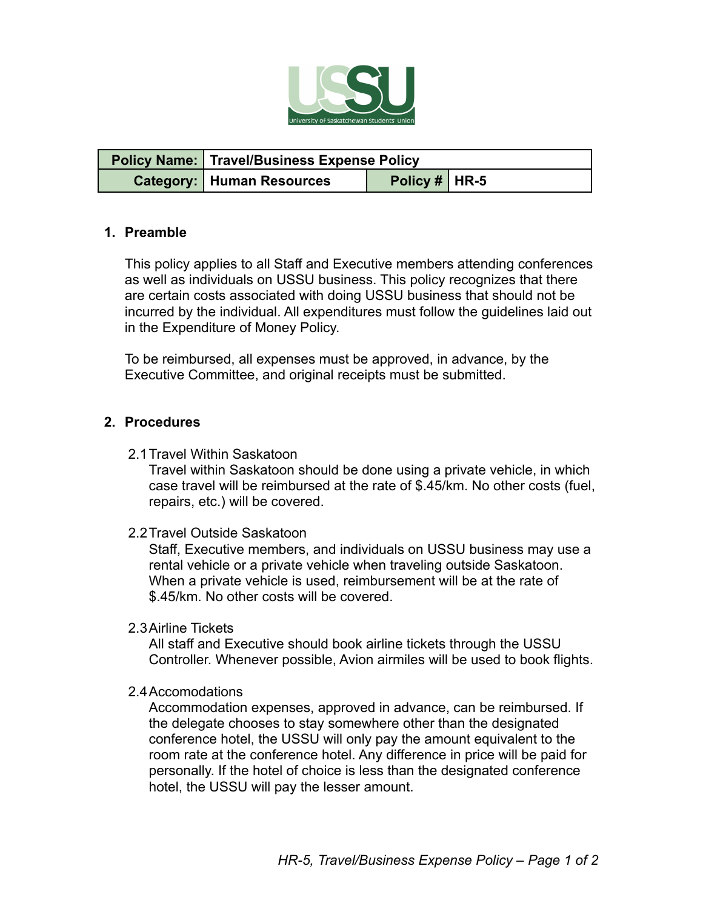

| <b>Policy Name:</b> Travel/Business Expense Policy |                   |  |
|----------------------------------------------------|-------------------|--|
| <b>Category:   Human Resources</b>                 | Policy #   $HR-5$ |  |

## **1. Preamble**

This policy applies to all Staff and Executive members attending conferences as well as individuals on USSU business. This policy recognizes that there are certain costs associated with doing USSU business that should not be incurred by the individual. All expenditures must follow the guidelines laid out in the Expenditure of Money Policy.

To be reimbursed, all expenses must be approved, in advance, by the Executive Committee, and original receipts must be submitted.

## **2. Procedures**

2.1Travel Within Saskatoon

Travel within Saskatoon should be done using a private vehicle, in which case travel will be reimbursed at the rate of \$.45/km. No other costs (fuel, repairs, etc.) will be covered.

2.2Travel Outside Saskatoon

Staff, Executive members, and individuals on USSU business may use a rental vehicle or a private vehicle when traveling outside Saskatoon. When a private vehicle is used, reimbursement will be at the rate of \$.45/km. No other costs will be covered.

2.3Airline Tickets

All staff and Executive should book airline tickets through the USSU Controller. Whenever possible, Avion airmiles will be used to book flights.

2.4Accomodations

Accommodation expenses, approved in advance, can be reimbursed. If the delegate chooses to stay somewhere other than the designated conference hotel, the USSU will only pay the amount equivalent to the room rate at the conference hotel. Any difference in price will be paid for personally. If the hotel of choice is less than the designated conference hotel, the USSU will pay the lesser amount.